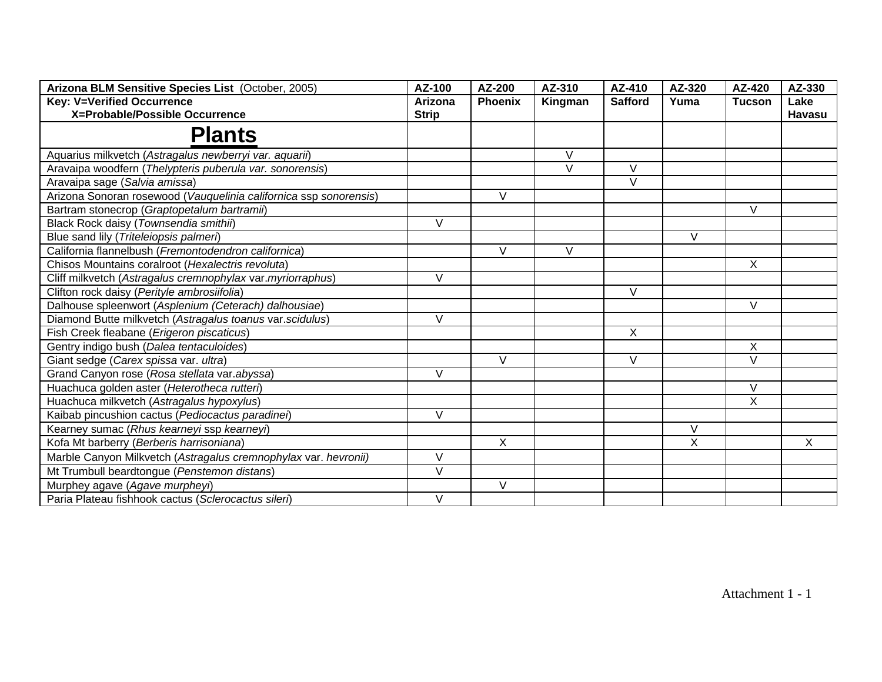| Arizona BLM Sensitive Species List (October, 2005)                | AZ-100         | AZ-200         | AZ-310  | AZ-410         | AZ-320       | AZ-420         | AZ-330 |
|-------------------------------------------------------------------|----------------|----------------|---------|----------------|--------------|----------------|--------|
| <b>Key: V=Verified Occurrence</b>                                 | <b>Arizona</b> | <b>Phoenix</b> | Kingman | <b>Safford</b> | Yuma         | <b>Tucson</b>  | Lake   |
| X=Probable/Possible Occurrence                                    | <b>Strip</b>   |                |         |                |              |                | Havasu |
| <b>Plants</b>                                                     |                |                |         |                |              |                |        |
| Aquarius milkvetch (Astragalus newberryi var. aquarii)            |                |                | $\vee$  |                |              |                |        |
| Aravaipa woodfern (Thelypteris puberula var. sonorensis)          |                |                | $\vee$  | $\vee$         |              |                |        |
| Aravaipa sage (Salvia amissa)                                     |                |                |         | $\vee$         |              |                |        |
| Arizona Sonoran rosewood (Vauquelinia californica ssp sonorensis) |                | V              |         |                |              |                |        |
| Bartram stonecrop (Graptopetalum bartramii)                       |                |                |         |                |              | $\vee$         |        |
| Black Rock daisy (Townsendia smithii)                             | $\vee$         |                |         |                |              |                |        |
| Blue sand lily (Triteleiopsis palmeri)                            |                |                |         |                | V            |                |        |
| California flannelbush (Fremontodendron californica)              |                | $\vee$         | $\vee$  |                |              |                |        |
| Chisos Mountains coralroot (Hexalectris revoluta)                 |                |                |         |                |              | X              |        |
| Cliff milkvetch (Astragalus cremnophylax var.myriorraphus)        | $\vee$         |                |         |                |              |                |        |
| Clifton rock daisy (Perityle ambrosiifolia)                       |                |                |         | $\vee$         |              |                |        |
| Dalhouse spleenwort (Asplenium (Ceterach) dalhousiae)             |                |                |         |                |              | V              |        |
| Diamond Butte milkvetch (Astragalus toanus var. scidulus)         | $\vee$         |                |         |                |              |                |        |
| Fish Creek fleabane (Erigeron piscaticus)                         |                |                |         | X              |              |                |        |
| Gentry indigo bush (Dalea tentaculoides)                          |                |                |         |                |              | X              |        |
| Giant sedge (Carex spissa var. ultra)                             |                | V              |         | V              |              | $\overline{V}$ |        |
| Grand Canyon rose (Rosa stellata var.abyssa)                      | $\vee$         |                |         |                |              |                |        |
| Huachuca golden aster (Heterotheca rutteri)                       |                |                |         |                |              | $\vee$         |        |
| Huachuca milkvetch (Astragalus hypoxylus)                         |                |                |         |                |              | X              |        |
| Kaibab pincushion cactus (Pediocactus paradinei)                  | $\vee$         |                |         |                |              |                |        |
| Kearney sumac (Rhus kearneyi ssp kearneyi)                        |                |                |         |                | V            |                |        |
| Kofa Mt barberry (Berberis harrisoniana)                          |                | X              |         |                | $\mathsf{X}$ |                | X      |
| Marble Canyon Milkvetch (Astragalus cremnophylax var. hevronii)   | $\vee$         |                |         |                |              |                |        |
| Mt Trumbull beardtongue (Penstemon distans)                       | $\vee$         |                |         |                |              |                |        |
| Murphey agave (Agave murpheyi)                                    |                | V              |         |                |              |                |        |
| Paria Plateau fishhook cactus (Sclerocactus sileri)               | $\vee$         |                |         |                |              |                |        |

Attachment 1 - 1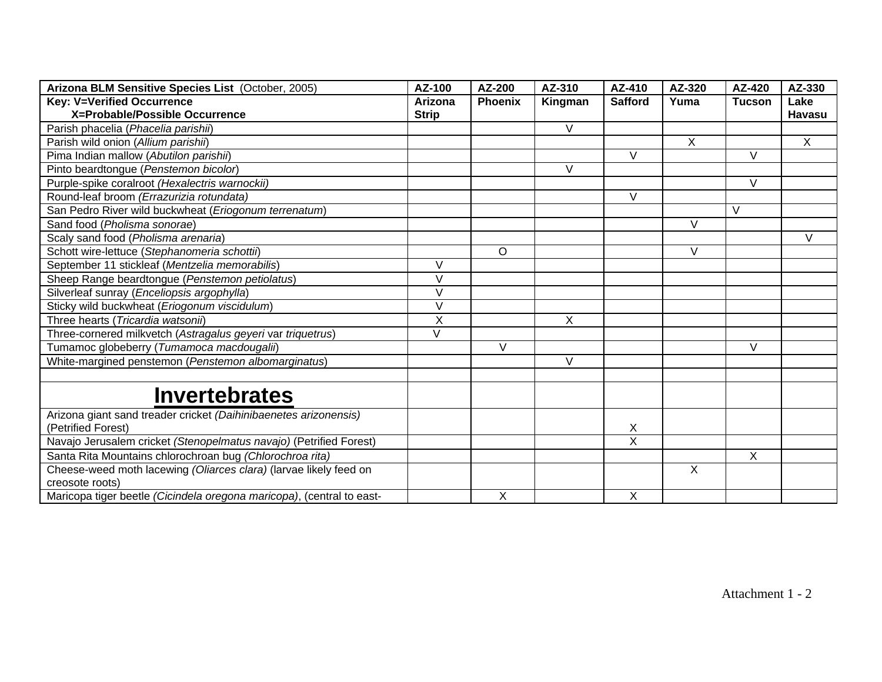| Arizona BLM Sensitive Species List (October, 2005)                                   | AZ-100       | AZ-200         | AZ-310  | AZ-410         | AZ-320       | AZ-420        | AZ-330        |
|--------------------------------------------------------------------------------------|--------------|----------------|---------|----------------|--------------|---------------|---------------|
| <b>Key: V=Verified Occurrence</b>                                                    | Arizona      | <b>Phoenix</b> | Kingman | <b>Safford</b> | Yuma         | <b>Tucson</b> | Lake          |
| X=Probable/Possible Occurrence                                                       | <b>Strip</b> |                |         |                |              |               | <b>Havasu</b> |
| Parish phacelia (Phacelia parishii)                                                  |              |                | V       |                |              |               |               |
| Parish wild onion (Allium parishii)                                                  |              |                |         |                | $\mathsf{X}$ |               | X             |
| Pima Indian mallow (Abutilon parishii)                                               |              |                |         | V              |              | $\vee$        |               |
| Pinto beardtongue (Penstemon bicolor)                                                |              |                | V       |                |              |               |               |
| Purple-spike coralroot (Hexalectris warnockii)                                       |              |                |         |                |              | $\vee$        |               |
| Round-leaf broom (Errazurizia rotundata)                                             |              |                |         | V              |              |               |               |
| San Pedro River wild buckwheat (Eriogonum terrenatum)                                |              |                |         |                |              | V             |               |
| Sand food (Pholisma sonorae)                                                         |              |                |         |                | V            |               |               |
| Scaly sand food (Pholisma arenaria)                                                  |              |                |         |                |              |               | V             |
| Schott wire-lettuce (Stephanomeria schottii)                                         |              | $\circ$        |         |                | V            |               |               |
| September 11 stickleaf (Mentzelia memorabilis)                                       | $\vee$       |                |         |                |              |               |               |
| Sheep Range beardtongue (Penstemon petiolatus)                                       | V            |                |         |                |              |               |               |
| Silverleaf sunray (Enceliopsis argophylla)                                           | V            |                |         |                |              |               |               |
| Sticky wild buckwheat (Eriogonum viscidulum)                                         | V            |                |         |                |              |               |               |
| Three hearts (Tricardia watsonii)                                                    | X            |                | X       |                |              |               |               |
| Three-cornered milkvetch (Astragalus geyeri var triquetrus)                          | V            |                |         |                |              |               |               |
| Tumamoc globeberry (Tumamoca macdougalii)                                            |              | V              |         |                |              | V             |               |
| White-margined penstemon (Penstemon albomarginatus)                                  |              |                | $\vee$  |                |              |               |               |
|                                                                                      |              |                |         |                |              |               |               |
| <b>Invertebrates</b>                                                                 |              |                |         |                |              |               |               |
| Arizona giant sand treader cricket (Daihinibaenetes arizonensis)                     |              |                |         |                |              |               |               |
| (Petrified Forest)                                                                   |              |                |         | X              |              |               |               |
| Navajo Jerusalem cricket (Stenopelmatus navajo) (Petrified Forest)                   |              |                |         | $\overline{X}$ |              |               |               |
| Santa Rita Mountains chlorochroan bug (Chlorochroa rita)                             |              |                |         |                |              | X             |               |
| Cheese-weed moth lacewing (Oliarces clara) (larvae likely feed on<br>creosote roots) |              |                |         |                | $\mathsf{X}$ |               |               |
| Maricopa tiger beetle (Cicindela oregona maricopa), (central to east-                |              | X              |         | X              |              |               |               |

Attachment 1 - 2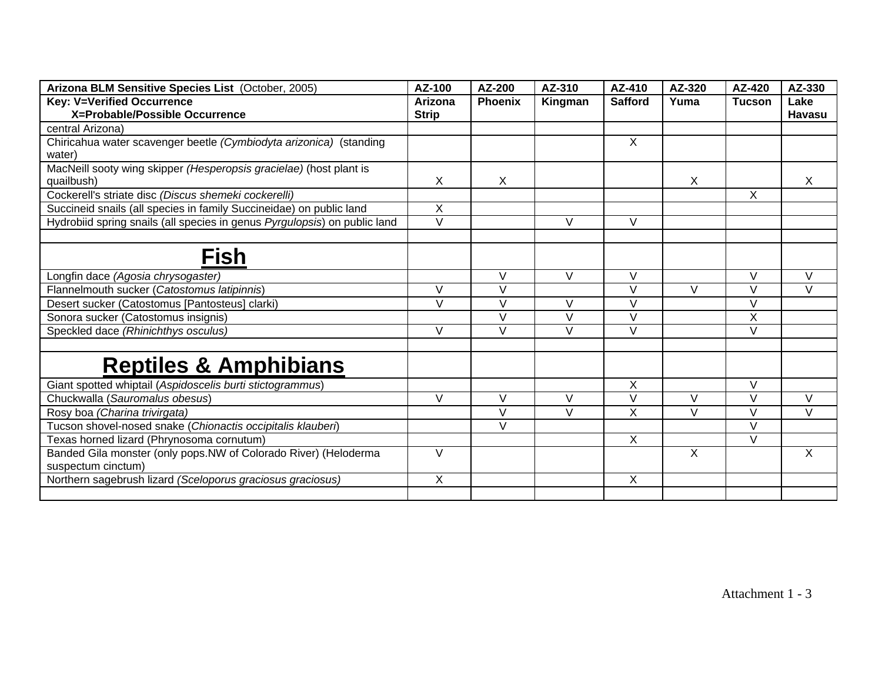| Arizona BLM Sensitive Species List (October, 2005)                        | AZ-100            | AZ-200            | AZ-310            | AZ-410         | AZ-320                  | AZ-420         | AZ-330       |
|---------------------------------------------------------------------------|-------------------|-------------------|-------------------|----------------|-------------------------|----------------|--------------|
| <b>Key: V=Verified Occurrence</b>                                         | <b>Arizona</b>    | <b>Phoenix</b>    | Kingman           | <b>Safford</b> | Yuma                    | <b>Tucson</b>  | Lake         |
| X=Probable/Possible Occurrence                                            | <b>Strip</b>      |                   |                   |                |                         |                | Havasu       |
| central Arizona)                                                          |                   |                   |                   |                |                         |                |              |
| Chiricahua water scavenger beetle (Cymbiodyta arizonica) (standing        |                   |                   |                   | X              |                         |                |              |
| water)                                                                    |                   |                   |                   |                |                         |                |              |
| MacNeill sooty wing skipper (Hesperopsis gracielae) (host plant is        |                   |                   |                   |                |                         |                |              |
| quailbush)                                                                | X                 | X                 |                   |                | X                       |                | X            |
| Cockerell's striate disc (Discus shemeki cockerelli)                      |                   |                   |                   |                |                         | X              |              |
| Succineid snails (all species in family Succineidae) on public land       | X                 |                   |                   |                |                         |                |              |
| Hydrobiid spring snails (all species in genus Pyrgulopsis) on public land | $\overline{\vee}$ |                   | $\vee$            | $\vee$         |                         |                |              |
|                                                                           |                   |                   |                   |                |                         |                |              |
| <b>Fish</b>                                                               |                   |                   |                   |                |                         |                |              |
| Longfin dace (Agosia chrysogaster)                                        |                   | $\vee$            | $\vee$            | $\vee$         |                         | $\vee$         | $\vee$       |
| Flannelmouth sucker (Catostomus latipinnis)                               | V                 | $\vee$            |                   | $\vee$         | V                       | $\vee$         | $\vee$       |
| Desert sucker (Catostomus [Pantosteus] clarki)                            | $\vee$            | $\vee$            | $\vee$            | $\vee$         |                         | $\vee$         |              |
| Sonora sucker (Catostomus insignis)                                       |                   | $\overline{\vee}$ | $\overline{\vee}$ | $\vee$         |                         | $\overline{X}$ |              |
| Speckled dace (Rhinichthys osculus)                                       | V                 | V                 | $\vee$            | $\vee$         |                         | $\vee$         |              |
|                                                                           |                   |                   |                   |                |                         |                |              |
| <b>Reptiles &amp; Amphibians</b>                                          |                   |                   |                   |                |                         |                |              |
| Giant spotted whiptail (Aspidoscelis burti stictogrammus)                 |                   |                   |                   | X              |                         | $\vee$         |              |
| Chuckwalla (Sauromalus obesus)                                            | $\vee$            | $\vee$            | $\vee$            | $\vee$         | $\vee$                  | $\vee$         | $\mathsf{V}$ |
| Rosy boa (Charina trivirgata)                                             |                   | $\overline{\vee}$ | $\vee$            | X              | $\overline{\mathsf{v}}$ | $\vee$         | $\vee$       |
| Tucson shovel-nosed snake (Chionactis occipitalis klauberi)               |                   | $\vee$            |                   |                |                         | $\vee$         |              |
| Texas horned lizard (Phrynosoma cornutum)                                 |                   |                   |                   | $\mathsf{X}$   |                         | $\vee$         |              |
| Banded Gila monster (only pops.NW of Colorado River) (Heloderma           | V                 |                   |                   |                | X                       |                | $\sf X$      |
| suspectum cinctum)                                                        |                   |                   |                   |                |                         |                |              |
| Northern sagebrush lizard (Sceloporus graciosus graciosus)                | Χ                 |                   |                   | X              |                         |                |              |
|                                                                           |                   |                   |                   |                |                         |                |              |